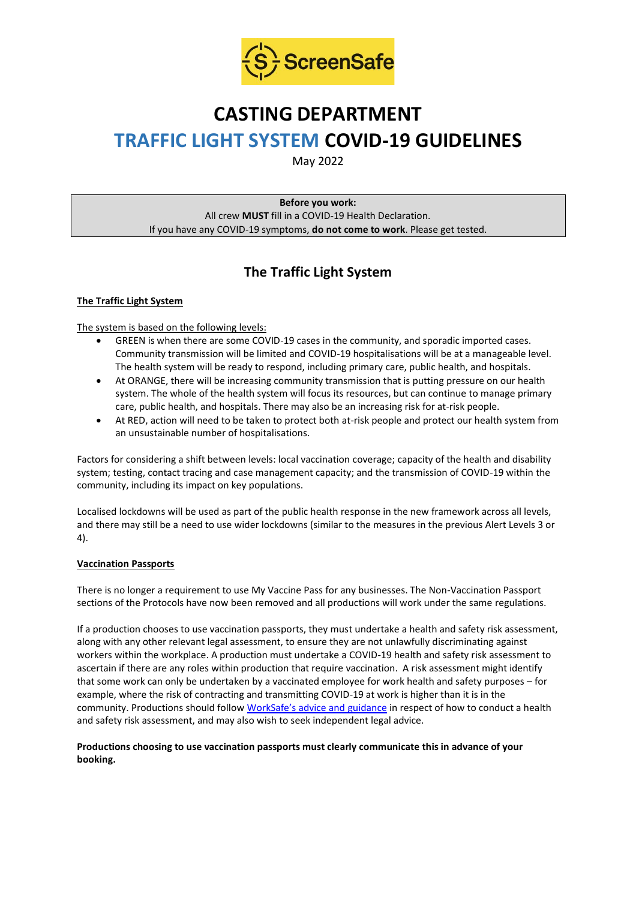

# **CASTING DEPARTMENT TRAFFIC LIGHT SYSTEM COVID-19 GUIDELINES**

May 2022

**Before you work:** All crew **MUST** fill in a COVID-19 Health Declaration. If you have any COVID-19 symptoms, **do not come to work**. Please get tested.

## **The Traffic Light System**

#### **The Traffic Light System**

The system is based on the following levels:

- GREEN is when there are some COVID-19 cases in the community, and sporadic imported cases. Community transmission will be limited and COVID-19 hospitalisations will be at a manageable level. The health system will be ready to respond, including primary care, public health, and hospitals.
- At ORANGE, there will be increasing community transmission that is putting pressure on our health system. The whole of the health system will focus its resources, but can continue to manage primary care, public health, and hospitals. There may also be an increasing risk for at-risk people.
- At RED, action will need to be taken to protect both at-risk people and protect our health system from an unsustainable number of hospitalisations.

Factors for considering a shift between levels: local vaccination coverage; capacity of the health and disability system; testing, contact tracing and case management capacity; and the transmission of COVID-19 within the community, including its impact on key populations.

Localised lockdowns will be used as part of the public health response in the new framework across all levels, and there may still be a need to use wider lockdowns (similar to the measures in the previous Alert Levels 3 or 4).

#### **Vaccination Passports**

There is no longer a requirement to use My Vaccine Pass for any businesses. The Non-Vaccination Passport sections of the Protocols have now been removed and all productions will work under the same regulations.

If a production chooses to use vaccination passports, they must undertake a health and safety risk assessment, along with any other relevant legal assessment, to ensure they are not unlawfully discriminating against workers within the workplace. A production must undertake a COVID-19 health and safety risk assessment to ascertain if there are any roles within production that require vaccination. A risk assessment might identify that some work can only be undertaken by a vaccinated employee for work health and safety purposes – for example, where the risk of contracting and transmitting COVID-19 at work is higher than it is in the community. Productions should follow [WorkSafe's advice and guidance](https://www.worksafe.govt.nz/managing-health-and-safety/novel-coronavirus-covid/covid-19-controls-at-work/) in respect of how to conduct a health and safety risk assessment, and may also wish to seek independent legal advice.

#### **Productions choosing to use vaccination passports must clearly communicate this in advance of your booking.**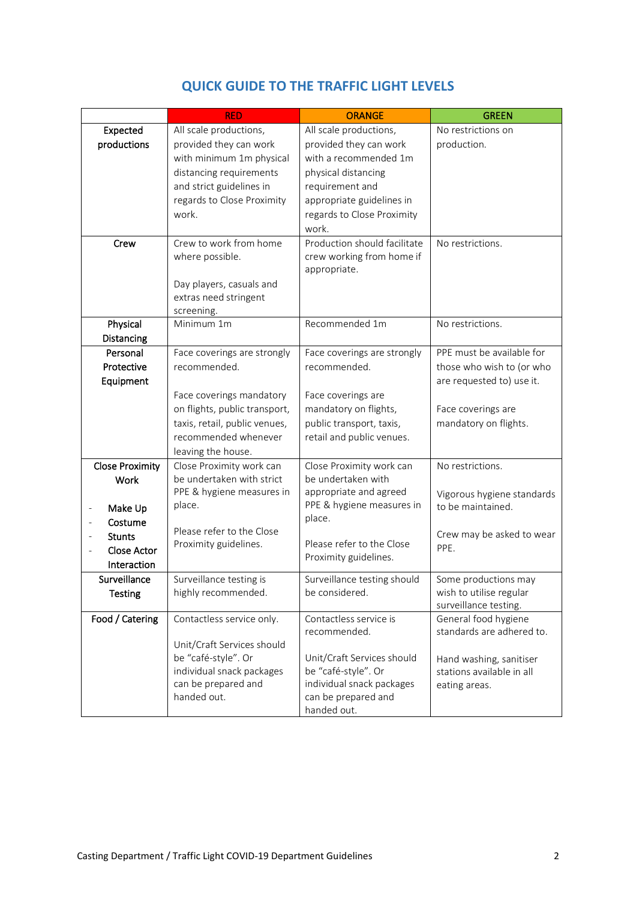|                                         | <b>RED</b>                                       | <b>ORANGE</b>                                    | <b>GREEN</b>               |
|-----------------------------------------|--------------------------------------------------|--------------------------------------------------|----------------------------|
| Expected                                | All scale productions,                           | All scale productions,                           | No restrictions on         |
| productions                             | provided they can work                           | provided they can work                           | production.                |
|                                         | with minimum 1m physical                         | with a recommended 1m                            |                            |
|                                         | distancing requirements                          | physical distancing                              |                            |
|                                         | and strict guidelines in                         | requirement and                                  |                            |
|                                         | regards to Close Proximity                       | appropriate guidelines in                        |                            |
|                                         | work.                                            | regards to Close Proximity                       |                            |
|                                         |                                                  | work.                                            |                            |
| Crew                                    | Crew to work from home                           | Production should facilitate                     | No restrictions.           |
|                                         | where possible.                                  | crew working from home if                        |                            |
|                                         |                                                  | appropriate.                                     |                            |
|                                         | Day players, casuals and                         |                                                  |                            |
|                                         | extras need stringent                            |                                                  |                            |
| Physical                                | screening.<br>Minimum 1m                         | Recommended 1m                                   | No restrictions.           |
| Distancing                              |                                                  |                                                  |                            |
| Personal                                | Face coverings are strongly                      | Face coverings are strongly                      | PPE must be available for  |
| Protective                              | recommended.                                     | recommended.                                     | those who wish to (or who  |
| Equipment                               |                                                  |                                                  | are requested to) use it.  |
|                                         | Face coverings mandatory                         | Face coverings are                               |                            |
|                                         | on flights, public transport,                    | mandatory on flights,                            | Face coverings are         |
|                                         | taxis, retail, public venues,                    | public transport, taxis,                         | mandatory on flights.      |
|                                         | recommended whenever                             | retail and public venues.                        |                            |
|                                         | leaving the house.                               |                                                  |                            |
| <b>Close Proximity</b>                  | Close Proximity work can                         | Close Proximity work can                         | No restrictions.           |
| <b>Work</b>                             | be undertaken with strict                        | be undertaken with                               |                            |
|                                         | PPE & hygiene measures in                        | appropriate and agreed                           | Vigorous hygiene standards |
| Make Up<br>$\qquad \qquad \blacksquare$ | place.                                           | PPE & hygiene measures in                        | to be maintained.          |
| Costume                                 |                                                  | place.                                           |                            |
| <b>Stunts</b>                           | Please refer to the Close                        |                                                  | Crew may be asked to wear  |
| <b>Close Actor</b>                      | Proximity guidelines.                            | Please refer to the Close                        | PPE.                       |
| Interaction                             |                                                  | Proximity guidelines.                            |                            |
| Surveillance                            | Surveillance testing is                          | Surveillance testing should                      | Some productions may       |
| <b>Testing</b>                          | highly recommended.                              | be considered.                                   | wish to utilise regular    |
|                                         |                                                  |                                                  | surveillance testing.      |
| Food / Catering                         | Contactless service only.                        | Contactless service is                           | General food hygiene       |
|                                         |                                                  | recommended.                                     | standards are adhered to.  |
|                                         | Unit/Craft Services should                       |                                                  |                            |
|                                         | be "café-style". Or                              | Unit/Craft Services should                       | Hand washing, sanitiser    |
|                                         | individual snack packages<br>can be prepared and | be "café-style". Or<br>individual snack packages | stations available in all  |
|                                         | handed out.                                      | can be prepared and                              | eating areas.              |
|                                         |                                                  | handed out.                                      |                            |

### **QUICK GUIDE TO THE TRAFFIC LIGHT LEVELS**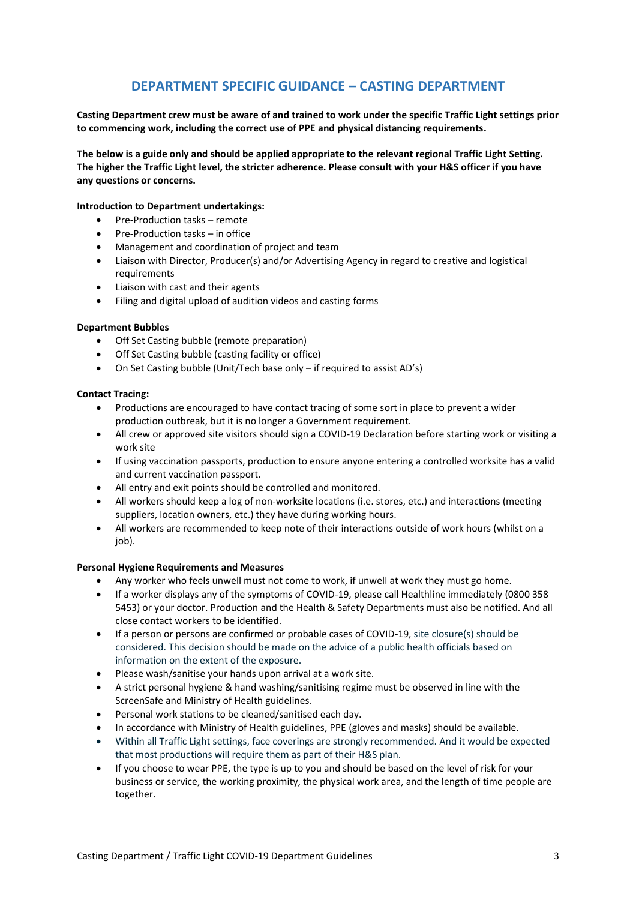### **DEPARTMENT SPECIFIC GUIDANCE – CASTING DEPARTMENT**

**Casting Department crew must be aware of and trained to work under the specific Traffic Light settings prior to commencing work, including the correct use of PPE and physical distancing requirements.**

**The below is a guide only and should be applied appropriate to the relevant regional Traffic Light Setting. The higher the Traffic Light level, the stricter adherence. Please consult with your H&S officer if you have any questions or concerns.**

#### **Introduction to Department undertakings:**

- Pre-Production tasks remote
- Pre-Production tasks in office
- Management and coordination of project and team
- Liaison with Director, Producer(s) and/or Advertising Agency in regard to creative and logistical requirements
- Liaison with cast and their agents
- Filing and digital upload of audition videos and casting forms

#### **Department Bubbles**

- Off Set Casting bubble (remote preparation)
- Off Set Casting bubble (casting facility or office)
- On Set Casting bubble (Unit/Tech base only if required to assist AD's)

#### **Contact Tracing:**

- Productions are encouraged to have contact tracing of some sort in place to prevent a wider production outbreak, but it is no longer a Government requirement.
- All crew or approved site visitors should sign a COVID-19 Declaration before starting work or visiting a work site
- If using vaccination passports, production to ensure anyone entering a controlled worksite has a valid and current vaccination passport.
- All entry and exit points should be controlled and monitored.
- All workers should keep a log of non-worksite locations (i.e. stores, etc.) and interactions (meeting suppliers, location owners, etc.) they have during working hours.
- All workers are recommended to keep note of their interactions outside of work hours (whilst on a job).

#### **Personal Hygiene Requirements and Measures**

- Any worker who feels unwell must not come to work, if unwell at work they must go home.
- If a worker displays any of the symptoms of COVID-19, please call Healthline immediately (0800 358 5453) or your doctor. Production and the Health & Safety Departments must also be notified. And all close contact workers to be identified.
- If a person or persons are confirmed or probable cases of COVID-19, site closure(s) should be considered. This decision should be made on the advice of a public health officials based on information on the extent of the exposure.
- Please wash/sanitise your hands upon arrival at a work site.
- A strict personal hygiene & hand washing/sanitising regime must be observed in line with the ScreenSafe and Ministry of Health guidelines.
- Personal work stations to be cleaned/sanitised each day.
- In accordance with Ministry of Health guidelines, PPE (gloves and masks) should be available.
- Within all Traffic Light settings, face coverings are strongly recommended. And it would be expected that most productions will require them as part of their H&S plan.
- If you choose to wear PPE, the type is up to you and should be based on the level of risk for your business or service, the working proximity, the physical work area, and the length of time people are together.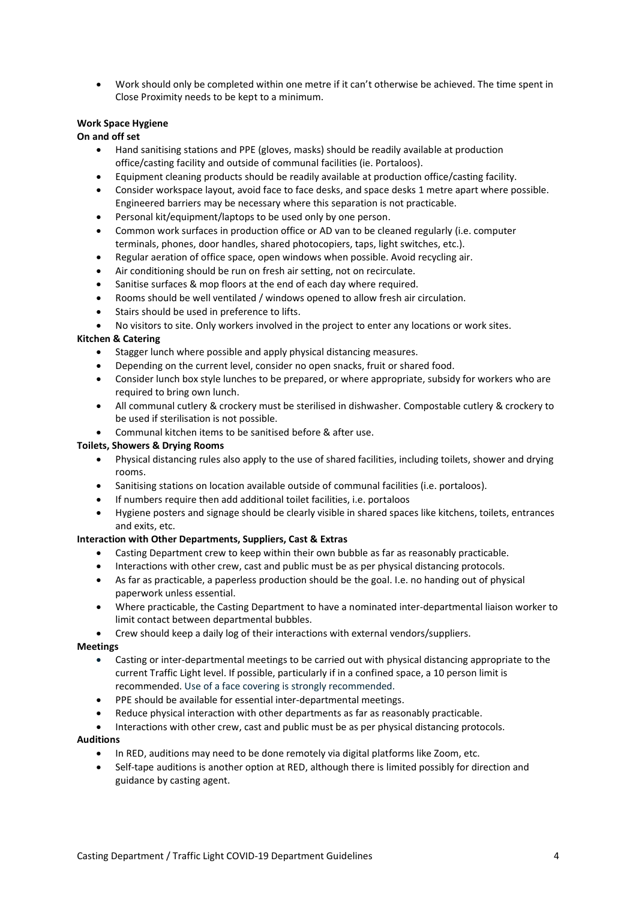• Work should only be completed within one metre if it can't otherwise be achieved. The time spent in Close Proximity needs to be kept to a minimum.

#### **Work Space Hygiene**

**On and off set**

- Hand sanitising stations and PPE (gloves, masks) should be readily available at production office/casting facility and outside of communal facilities (ie. Portaloos).
- Equipment cleaning products should be readily available at production office/casting facility.
- Consider workspace layout, avoid face to face desks, and space desks 1 metre apart where possible. Engineered barriers may be necessary where this separation is not practicable.
- Personal kit/equipment/laptops to be used only by one person.
- Common work surfaces in production office or AD van to be cleaned regularly (i.e. computer terminals, phones, door handles, shared photocopiers, taps, light switches, etc.).
- Regular aeration of office space, open windows when possible. Avoid recycling air.
- Air conditioning should be run on fresh air setting, not on recirculate.
- Sanitise surfaces & mop floors at the end of each day where required.
- Rooms should be well ventilated / windows opened to allow fresh air circulation.
- Stairs should be used in preference to lifts.
- No visitors to site. Only workers involved in the project to enter any locations or work sites.

#### **Kitchen & Catering**

- Stagger lunch where possible and apply physical distancing measures.
- Depending on the current level, consider no open snacks, fruit or shared food.
- Consider lunch box style lunches to be prepared, or where appropriate, subsidy for workers who are required to bring own lunch.
- All communal cutlery & crockery must be sterilised in dishwasher. Compostable cutlery & crockery to be used if sterilisation is not possible.
- Communal kitchen items to be sanitised before & after use.

#### **Toilets, Showers & Drying Rooms**

- Physical distancing rules also apply to the use of shared facilities, including toilets, shower and drying rooms.
- Sanitising stations on location available outside of communal facilities (i.e. portaloos).
- If numbers require then add additional toilet facilities, i.e. portaloos
- Hygiene posters and signage should be clearly visible in shared spaces like kitchens, toilets, entrances and exits, etc.

#### **Interaction with Other Departments, Suppliers, Cast & Extras**

- Casting Department crew to keep within their own bubble as far as reasonably practicable.
- Interactions with other crew, cast and public must be as per physical distancing protocols.
- As far as practicable, a paperless production should be the goal. I.e. no handing out of physical paperwork unless essential.
- Where practicable, the Casting Department to have a nominated inter-departmental liaison worker to limit contact between departmental bubbles.
- Crew should keep a daily log of their interactions with external vendors/suppliers.

#### **Meetings**

- Casting or inter-departmental meetings to be carried out with physical distancing appropriate to the current Traffic Light level. If possible, particularly if in a confined space, a 10 person limit is recommended. Use of a face covering is strongly recommended.
- PPE should be available for essential inter-departmental meetings.
- Reduce physical interaction with other departments as far as reasonably practicable.
- Interactions with other crew, cast and public must be as per physical distancing protocols.

#### **Auditions**

- In RED, auditions may need to be done remotely via digital platforms like Zoom, etc.
- Self-tape auditions is another option at RED, although there is limited possibly for direction and guidance by casting agent.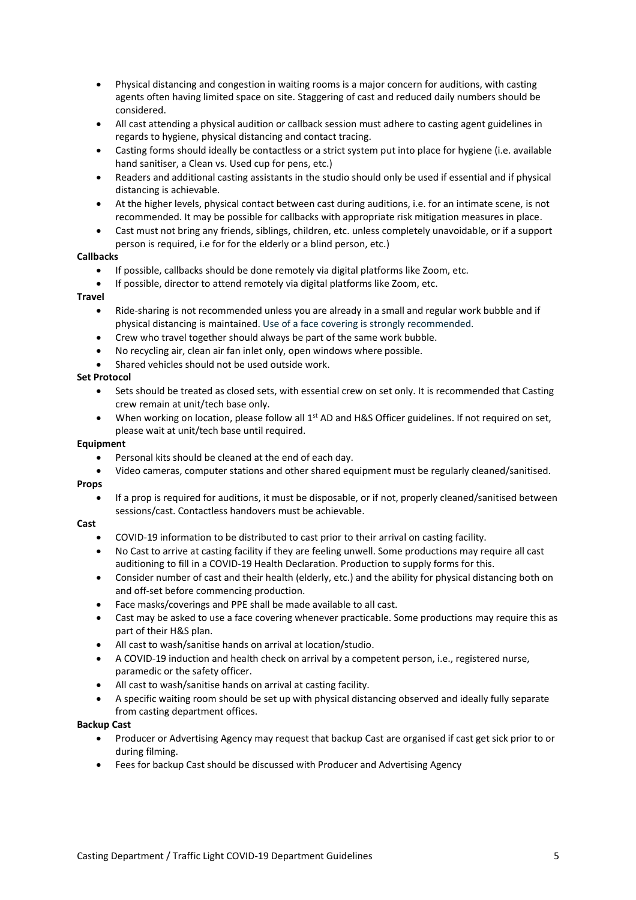- Physical distancing and congestion in waiting rooms is a major concern for auditions, with casting agents often having limited space on site. Staggering of cast and reduced daily numbers should be considered.
- All cast attending a physical audition or callback session must adhere to casting agent guidelines in regards to hygiene, physical distancing and contact tracing.
- Casting forms should ideally be contactless or a strict system put into place for hygiene (i.e. available hand sanitiser, a Clean vs. Used cup for pens, etc.)
- Readers and additional casting assistants in the studio should only be used if essential and if physical distancing is achievable.
- At the higher levels, physical contact between cast during auditions, i.e. for an intimate scene, is not recommended. It may be possible for callbacks with appropriate risk mitigation measures in place.
- Cast must not bring any friends, siblings, children, etc. unless completely unavoidable, or if a support person is required, i.e for for the elderly or a blind person, etc.)

#### **Callbacks**

- If possible, callbacks should be done remotely via digital platforms like Zoom, etc.
- If possible, director to attend remotely via digital platforms like Zoom, etc.

#### **Travel**

- Ride-sharing is not recommended unless you are already in a small and regular work bubble and if physical distancing is maintained. Use of a face covering is strongly recommended.
- Crew who travel together should always be part of the same work bubble.
- No recycling air, clean air fan inlet only, open windows where possible.
- Shared vehicles should not be used outside work.

#### **Set Protocol**

- Sets should be treated as closed sets, with essential crew on set only. It is recommended that Casting crew remain at unit/tech base only.
- When working on location, please follow all 1<sup>st</sup> AD and H&S Officer guidelines. If not required on set, please wait at unit/tech base until required.

#### **Equipment**

- Personal kits should be cleaned at the end of each day.
- Video cameras, computer stations and other shared equipment must be regularly cleaned/sanitised.

#### **Props**

• If a prop is required for auditions, it must be disposable, or if not, properly cleaned/sanitised between sessions/cast. Contactless handovers must be achievable.

#### **Cast**

- COVID-19 information to be distributed to cast prior to their arrival on casting facility.
- No Cast to arrive at casting facility if they are feeling unwell. Some productions may require all cast auditioning to fill in a COVID-19 Health Declaration. Production to supply forms for this.
- Consider number of cast and their health (elderly, etc.) and the ability for physical distancing both on and off-set before commencing production.
- Face masks/coverings and PPE shall be made available to all cast.
- Cast may be asked to use a face covering whenever practicable. Some productions may require this as part of their H&S plan.
- All cast to wash/sanitise hands on arrival at location/studio.
- A COVID-19 induction and health check on arrival by a competent person, i.e., registered nurse, paramedic or the safety officer.
- All cast to wash/sanitise hands on arrival at casting facility.
- A specific waiting room should be set up with physical distancing observed and ideally fully separate from casting department offices.

#### **Backup Cast**

- Producer or Advertising Agency may request that backup Cast are organised if cast get sick prior to or during filming.
- Fees for backup Cast should be discussed with Producer and Advertising Agency